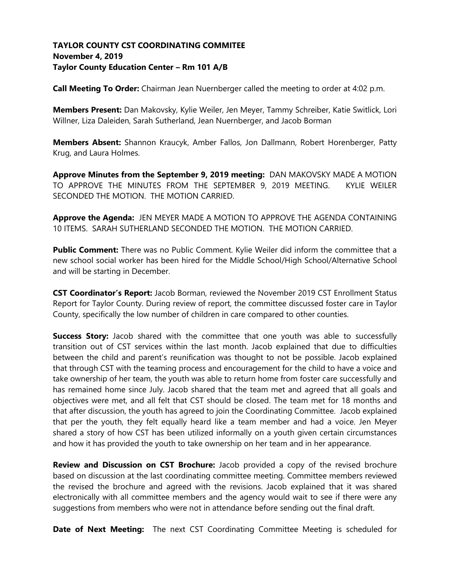# **TAYLOR COUNTY CST COORDINATING COMMITEE November 4, 2019 Taylor County Education Center – Rm 101 A/B**

**Call Meeting To Order:** Chairman Jean Nuernberger called the meeting to order at 4:02 p.m.

**Members Present:** Dan Makovsky, Kylie Weiler, Jen Meyer, Tammy Schreiber, Katie Switlick, Lori Willner, Liza Daleiden, Sarah Sutherland, Jean Nuernberger, and Jacob Borman

**Members Absent:** Shannon Kraucyk, Amber Fallos, Jon Dallmann, Robert Horenberger, Patty Krug, and Laura Holmes.

**Approve Minutes from the September 9, 2019 meeting:** DAN MAKOVSKY MADE A MOTION TO APPROVE THE MINUTES FROM THE SEPTEMBER 9, 2019 MEETING. KYLIE WEILER SECONDED THE MOTION. THE MOTION CARRIED.

**Approve the Agenda:** JEN MEYER MADE A MOTION TO APPROVE THE AGENDA CONTAINING 10 ITEMS. SARAH SUTHERLAND SECONDED THE MOTION. THE MOTION CARRIED.

**Public Comment:** There was no Public Comment. Kylie Weiler did inform the committee that a new school social worker has been hired for the Middle School/High School/Alternative School and will be starting in December.

**CST Coordinator's Report:** Jacob Borman, reviewed the November 2019 CST Enrollment Status Report for Taylor County. During review of report, the committee discussed foster care in Taylor County, specifically the low number of children in care compared to other counties.

**Success Story:** Jacob shared with the committee that one youth was able to successfully transition out of CST services within the last month. Jacob explained that due to difficulties between the child and parent's reunification was thought to not be possible. Jacob explained that through CST with the teaming process and encouragement for the child to have a voice and take ownership of her team, the youth was able to return home from foster care successfully and has remained home since July. Jacob shared that the team met and agreed that all goals and objectives were met, and all felt that CST should be closed. The team met for 18 months and that after discussion, the youth has agreed to join the Coordinating Committee. Jacob explained that per the youth, they felt equally heard like a team member and had a voice. Jen Meyer shared a story of how CST has been utilized informally on a youth given certain circumstances and how it has provided the youth to take ownership on her team and in her appearance.

**Review and Discussion on CST Brochure:** Jacob provided a copy of the revised brochure based on discussion at the last coordinating committee meeting. Committee members reviewed the revised the brochure and agreed with the revisions. Jacob explained that it was shared electronically with all committee members and the agency would wait to see if there were any suggestions from members who were not in attendance before sending out the final draft.

**Date of Next Meeting:** The next CST Coordinating Committee Meeting is scheduled for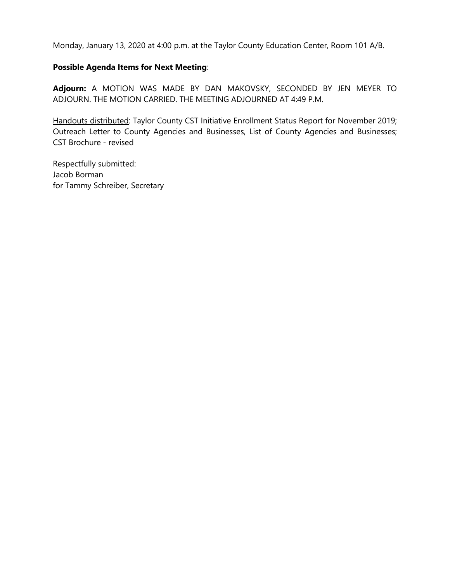Monday, January 13, 2020 at 4:00 p.m. at the Taylor County Education Center, Room 101 A/B.

# **Possible Agenda Items for Next Meeting**:

**Adjourn:** A MOTION WAS MADE BY DAN MAKOVSKY, SECONDED BY JEN MEYER TO ADJOURN. THE MOTION CARRIED. THE MEETING ADJOURNED AT 4:49 P.M.

Handouts distributed: Taylor County CST Initiative Enrollment Status Report for November 2019; Outreach Letter to County Agencies and Businesses, List of County Agencies and Businesses; CST Brochure - revised

Respectfully submitted: Jacob Borman for Tammy Schreiber, Secretary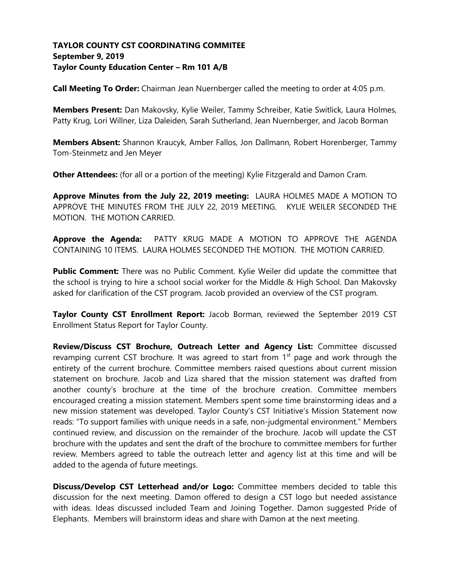# **TAYLOR COUNTY CST COORDINATING COMMITEE September 9, 2019 Taylor County Education Center – Rm 101 A/B**

**Call Meeting To Order:** Chairman Jean Nuernberger called the meeting to order at 4:05 p.m.

**Members Present:** Dan Makovsky, Kylie Weiler, Tammy Schreiber, Katie Switlick, Laura Holmes, Patty Krug, Lori Willner, Liza Daleiden, Sarah Sutherland, Jean Nuernberger, and Jacob Borman

**Members Absent:** Shannon Kraucyk, Amber Fallos, Jon Dallmann, Robert Horenberger, Tammy Tom-Steinmetz and Jen Meyer

**Other Attendees:** (for all or a portion of the meeting) Kylie Fitzgerald and Damon Cram.

**Approve Minutes from the July 22, 2019 meeting:** LAURA HOLMES MADE A MOTION TO APPROVE THE MINUTES FROM THE JULY 22, 2019 MEETING. KYLIE WEILER SECONDED THE MOTION. THE MOTION CARRIED.

**Approve the Agenda:** PATTY KRUG MADE A MOTION TO APPROVE THE AGENDA CONTAINING 10 ITEMS. LAURA HOLMES SECONDED THE MOTION. THE MOTION CARRIED.

**Public Comment:** There was no Public Comment. Kylie Weiler did update the committee that the school is trying to hire a school social worker for the Middle & High School. Dan Makovsky asked for clarification of the CST program. Jacob provided an overview of the CST program.

**Taylor County CST Enrollment Report:** Jacob Borman, reviewed the September 2019 CST Enrollment Status Report for Taylor County.

**Review/Discuss CST Brochure, Outreach Letter and Agency List:** Committee discussed revamping current CST brochure. It was agreed to start from  $1<sup>st</sup>$  page and work through the entirety of the current brochure. Committee members raised questions about current mission statement on brochure. Jacob and Liza shared that the mission statement was drafted from another county's brochure at the time of the brochure creation. Committee members encouraged creating a mission statement. Members spent some time brainstorming ideas and a new mission statement was developed. Taylor County's CST Initiative's Mission Statement now reads: "To support families with unique needs in a safe, non-judgmental environment." Members continued review, and discussion on the remainder of the brochure. Jacob will update the CST brochure with the updates and sent the draft of the brochure to committee members for further review. Members agreed to table the outreach letter and agency list at this time and will be added to the agenda of future meetings.

**Discuss/Develop CST Letterhead and/or Logo:** Committee members decided to table this discussion for the next meeting. Damon offered to design a CST logo but needed assistance with ideas. Ideas discussed included Team and Joining Together. Damon suggested Pride of Elephants. Members will brainstorm ideas and share with Damon at the next meeting.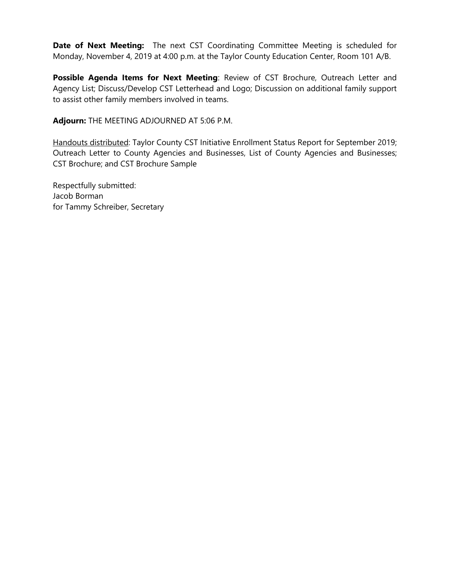**Date of Next Meeting:** The next CST Coordinating Committee Meeting is scheduled for Monday, November 4, 2019 at 4:00 p.m. at the Taylor County Education Center, Room 101 A/B.

**Possible Agenda Items for Next Meeting**: Review of CST Brochure, Outreach Letter and Agency List; Discuss/Develop CST Letterhead and Logo; Discussion on additional family support to assist other family members involved in teams.

**Adjourn:** THE MEETING ADJOURNED AT 5:06 P.M.

Handouts distributed: Taylor County CST Initiative Enrollment Status Report for September 2019; Outreach Letter to County Agencies and Businesses, List of County Agencies and Businesses; CST Brochure; and CST Brochure Sample

Respectfully submitted: Jacob Borman for Tammy Schreiber, Secretary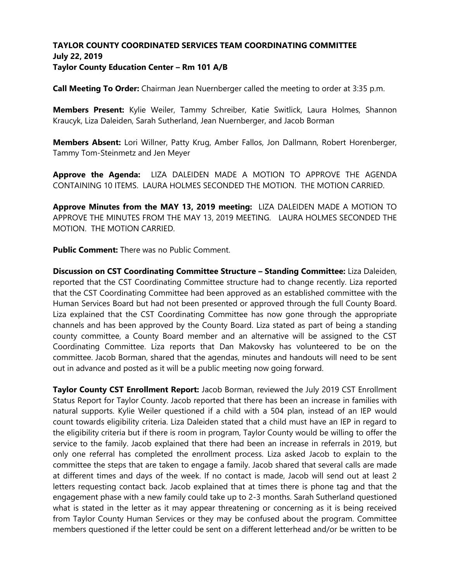# **TAYLOR COUNTY COORDINATED SERVICES TEAM COORDINATING COMMITTEE July 22, 2019 Taylor County Education Center – Rm 101 A/B**

**Call Meeting To Order:** Chairman Jean Nuernberger called the meeting to order at 3:35 p.m.

**Members Present:** Kylie Weiler, Tammy Schreiber, Katie Switlick, Laura Holmes, Shannon Kraucyk, Liza Daleiden, Sarah Sutherland, Jean Nuernberger, and Jacob Borman

**Members Absent:** Lori Willner, Patty Krug, Amber Fallos, Jon Dallmann, Robert Horenberger, Tammy Tom-Steinmetz and Jen Meyer

**Approve the Agenda:** LIZA DALEIDEN MADE A MOTION TO APPROVE THE AGENDA CONTAINING 10 ITEMS. LAURA HOLMES SECONDED THE MOTION. THE MOTION CARRIED.

**Approve Minutes from the MAY 13, 2019 meeting:** LIZA DALEIDEN MADE A MOTION TO APPROVE THE MINUTES FROM THE MAY 13, 2019 MEETING. LAURA HOLMES SECONDED THE MOTION. THE MOTION CARRIED.

**Public Comment:** There was no Public Comment.

**Discussion on CST Coordinating Committee Structure – Standing Committee:** Liza Daleiden, reported that the CST Coordinating Committee structure had to change recently. Liza reported that the CST Coordinating Committee had been approved as an established committee with the Human Services Board but had not been presented or approved through the full County Board. Liza explained that the CST Coordinating Committee has now gone through the appropriate channels and has been approved by the County Board. Liza stated as part of being a standing county committee, a County Board member and an alternative will be assigned to the CST Coordinating Committee. Liza reports that Dan Makovsky has volunteered to be on the committee. Jacob Borman, shared that the agendas, minutes and handouts will need to be sent out in advance and posted as it will be a public meeting now going forward.

**Taylor County CST Enrollment Report:** Jacob Borman, reviewed the July 2019 CST Enrollment Status Report for Taylor County. Jacob reported that there has been an increase in families with natural supports. Kylie Weiler questioned if a child with a 504 plan, instead of an IEP would count towards eligibility criteria. Liza Daleiden stated that a child must have an IEP in regard to the eligibility criteria but if there is room in program, Taylor County would be willing to offer the service to the family. Jacob explained that there had been an increase in referrals in 2019, but only one referral has completed the enrollment process. Liza asked Jacob to explain to the committee the steps that are taken to engage a family. Jacob shared that several calls are made at different times and days of the week. If no contact is made, Jacob will send out at least 2 letters requesting contact back. Jacob explained that at times there is phone tag and that the engagement phase with a new family could take up to 2-3 months. Sarah Sutherland questioned what is stated in the letter as it may appear threatening or concerning as it is being received from Taylor County Human Services or they may be confused about the program. Committee members questioned if the letter could be sent on a different letterhead and/or be written to be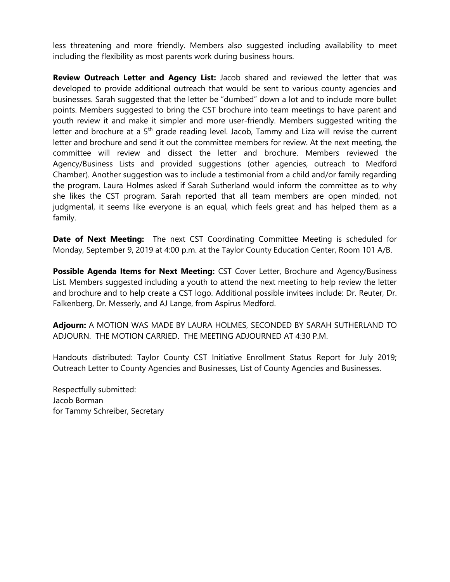less threatening and more friendly. Members also suggested including availability to meet including the flexibility as most parents work during business hours.

**Review Outreach Letter and Agency List:** Jacob shared and reviewed the letter that was developed to provide additional outreach that would be sent to various county agencies and businesses. Sarah suggested that the letter be "dumbed" down a lot and to include more bullet points. Members suggested to bring the CST brochure into team meetings to have parent and youth review it and make it simpler and more user-friendly. Members suggested writing the letter and brochure at a  $5<sup>th</sup>$  grade reading level. Jacob, Tammy and Liza will revise the current letter and brochure and send it out the committee members for review. At the next meeting, the committee will review and dissect the letter and brochure. Members reviewed the Agency/Business Lists and provided suggestions (other agencies, outreach to Medford Chamber). Another suggestion was to include a testimonial from a child and/or family regarding the program. Laura Holmes asked if Sarah Sutherland would inform the committee as to why she likes the CST program. Sarah reported that all team members are open minded, not judgmental, it seems like everyone is an equal, which feels great and has helped them as a family.

**Date of Next Meeting:** The next CST Coordinating Committee Meeting is scheduled for Monday, September 9, 2019 at 4:00 p.m. at the Taylor County Education Center, Room 101 A/B.

**Possible Agenda Items for Next Meeting:** CST Cover Letter, Brochure and Agency/Business List. Members suggested including a youth to attend the next meeting to help review the letter and brochure and to help create a CST logo. Additional possible invitees include: Dr. Reuter, Dr. Falkenberg, Dr. Messerly, and AJ Lange, from Aspirus Medford.

**Adjourn:** A MOTION WAS MADE BY LAURA HOLMES, SECONDED BY SARAH SUTHERLAND TO ADJOURN. THE MOTION CARRIED. THE MEETING ADJOURNED AT 4:30 P.M.

Handouts distributed: Taylor County CST Initiative Enrollment Status Report for July 2019; Outreach Letter to County Agencies and Businesses, List of County Agencies and Businesses.

Respectfully submitted: Jacob Borman for Tammy Schreiber, Secretary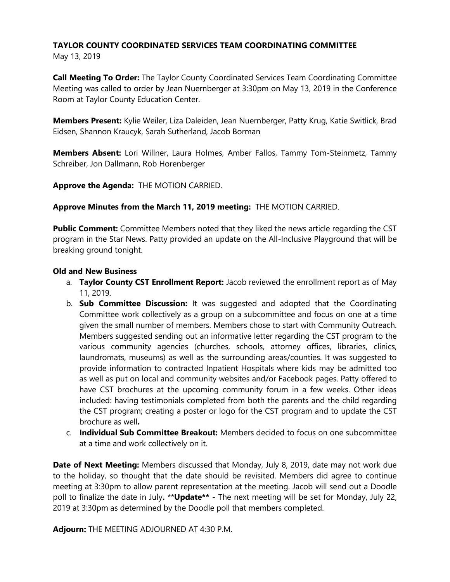### **TAYLOR COUNTY COORDINATED SERVICES TEAM COORDINATING COMMITTEE** May 13, 2019

**Call Meeting To Order:** The Taylor County Coordinated Services Team Coordinating Committee Meeting was called to order by Jean Nuernberger at 3:30pm on May 13, 2019 in the Conference Room at Taylor County Education Center.

**Members Present:** Kylie Weiler, Liza Daleiden, Jean Nuernberger, Patty Krug, Katie Switlick, Brad Eidsen, Shannon Kraucyk, Sarah Sutherland, Jacob Borman

**Members Absent:** Lori Willner, Laura Holmes, Amber Fallos, Tammy Tom-Steinmetz, Tammy Schreiber, Jon Dallmann, Rob Horenberger

**Approve the Agenda:** THE MOTION CARRIED.

**Approve Minutes from the March 11, 2019 meeting:** THE MOTION CARRIED.

**Public Comment:** Committee Members noted that they liked the news article regarding the CST program in the Star News. Patty provided an update on the All-Inclusive Playground that will be breaking ground tonight.

# **Old and New Business**

- a. **Taylor County CST Enrollment Report:** Jacob reviewed the enrollment report as of May 11, 2019.
- b. **Sub Committee Discussion:** It was suggested and adopted that the Coordinating Committee work collectively as a group on a subcommittee and focus on one at a time given the small number of members. Members chose to start with Community Outreach. Members suggested sending out an informative letter regarding the CST program to the various community agencies (churches, schools, attorney offices, libraries, clinics, laundromats, museums) as well as the surrounding areas/counties. It was suggested to provide information to contracted Inpatient Hospitals where kids may be admitted too as well as put on local and community websites and/or Facebook pages. Patty offered to have CST brochures at the upcoming community forum in a few weeks. Other ideas included: having testimonials completed from both the parents and the child regarding the CST program; creating a poster or logo for the CST program and to update the CST brochure as well**.**
- c. **Individual Sub Committee Breakout:** Members decided to focus on one subcommittee at a time and work collectively on it.

**Date of Next Meeting:** Members discussed that Monday, July 8, 2019, date may not work due to the holiday, so thought that the date should be revisited. Members did agree to continue meeting at 3:30pm to allow parent representation at the meeting. Jacob will send out a Doodle poll to finalize the date in July**.** \*\***Update\*\* -** The next meeting will be set for Monday, July 22, 2019 at 3:30pm as determined by the Doodle poll that members completed.

**Adjourn:** THE MEETING ADJOURNED AT 4:30 P.M.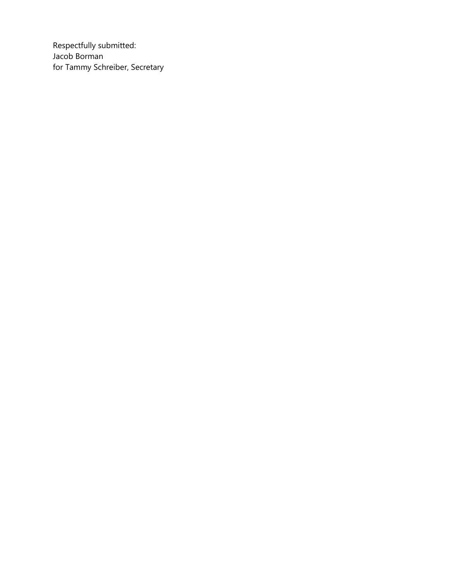Respectfully submitted: Jacob Borman for Tammy Schreiber, Secretary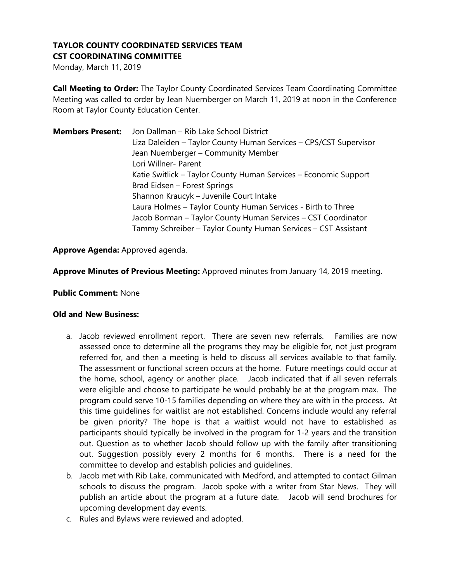# **TAYLOR COUNTY COORDINATED SERVICES TEAM CST COORDINATING COMMITTEE**

Monday, March 11, 2019

**Call Meeting to Order:** The Taylor County Coordinated Services Team Coordinating Committee Meeting was called to order by Jean Nuernberger on March 11, 2019 at noon in the Conference Room at Taylor County Education Center.

| <b>Members Present:</b> | Jon Dallman - Rib Lake School District                            |
|-------------------------|-------------------------------------------------------------------|
|                         | Liza Daleiden – Taylor County Human Services – CPS/CST Supervisor |
|                         | Jean Nuernberger - Community Member                               |
|                         | Lori Willner- Parent                                              |
|                         | Katie Switlick - Taylor County Human Services - Economic Support  |
|                         | Brad Eidsen - Forest Springs                                      |
|                         | Shannon Kraucyk - Juvenile Court Intake                           |
|                         | Laura Holmes - Taylor County Human Services - Birth to Three      |
|                         | Jacob Borman - Taylor County Human Services - CST Coordinator     |
|                         | Tammy Schreiber - Taylor County Human Services - CST Assistant    |

**Approve Agenda:** Approved agenda.

**Approve Minutes of Previous Meeting:** Approved minutes from January 14, 2019 meeting.

### **Public Comment:** None

#### **Old and New Business:**

- a. Jacob reviewed enrollment report. There are seven new referrals. Families are now assessed once to determine all the programs they may be eligible for, not just program referred for, and then a meeting is held to discuss all services available to that family. The assessment or functional screen occurs at the home. Future meetings could occur at the home, school, agency or another place. Jacob indicated that if all seven referrals were eligible and choose to participate he would probably be at the program max. The program could serve 10-15 families depending on where they are with in the process. At this time guidelines for waitlist are not established. Concerns include would any referral be given priority? The hope is that a waitlist would not have to established as participants should typically be involved in the program for 1-2 years and the transition out. Question as to whether Jacob should follow up with the family after transitioning out. Suggestion possibly every 2 months for 6 months. There is a need for the committee to develop and establish policies and guidelines.
- b. Jacob met with Rib Lake, communicated with Medford, and attempted to contact Gilman schools to discuss the program. Jacob spoke with a writer from Star News. They will publish an article about the program at a future date. Jacob will send brochures for upcoming development day events.
- c. Rules and Bylaws were reviewed and adopted.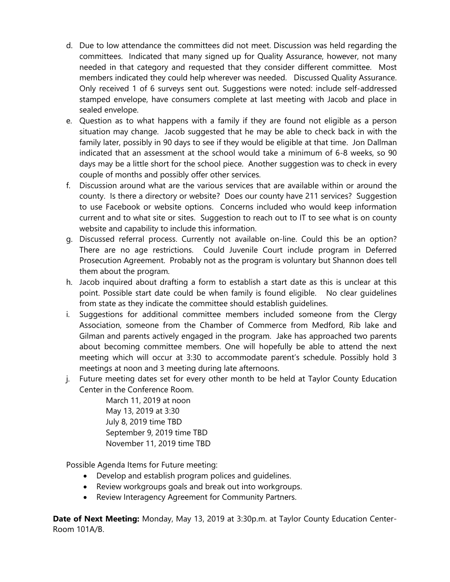- d. Due to low attendance the committees did not meet. Discussion was held regarding the committees. Indicated that many signed up for Quality Assurance, however, not many needed in that category and requested that they consider different committee. Most members indicated they could help wherever was needed. Discussed Quality Assurance. Only received 1 of 6 surveys sent out. Suggestions were noted: include self-addressed stamped envelope, have consumers complete at last meeting with Jacob and place in sealed envelope.
- e. Question as to what happens with a family if they are found not eligible as a person situation may change. Jacob suggested that he may be able to check back in with the family later, possibly in 90 days to see if they would be eligible at that time. Jon Dallman indicated that an assessment at the school would take a minimum of 6-8 weeks, so 90 days may be a little short for the school piece. Another suggestion was to check in every couple of months and possibly offer other services.
- f. Discussion around what are the various services that are available within or around the county. Is there a directory or website? Does our county have 211 services? Suggestion to use Facebook or website options. Concerns included who would keep information current and to what site or sites. Suggestion to reach out to IT to see what is on county website and capability to include this information.
- g. Discussed referral process. Currently not available on-line. Could this be an option? There are no age restrictions. Could Juvenile Court include program in Deferred Prosecution Agreement. Probably not as the program is voluntary but Shannon does tell them about the program.
- h. Jacob inquired about drafting a form to establish a start date as this is unclear at this point. Possible start date could be when family is found eligible. No clear guidelines from state as they indicate the committee should establish guidelines.
- i. Suggestions for additional committee members included someone from the Clergy Association, someone from the Chamber of Commerce from Medford, Rib lake and Gilman and parents actively engaged in the program. Jake has approached two parents about becoming committee members. One will hopefully be able to attend the next meeting which will occur at 3:30 to accommodate parent's schedule. Possibly hold 3 meetings at noon and 3 meeting during late afternoons.
- j. Future meeting dates set for every other month to be held at Taylor County Education Center in the Conference Room.

March 11, 2019 at noon May 13, 2019 at 3:30 July 8, 2019 time TBD September 9, 2019 time TBD November 11, 2019 time TBD

Possible Agenda Items for Future meeting:

- Develop and establish program polices and guidelines.
- Review workgroups goals and break out into workgroups.
- Review Interagency Agreement for Community Partners.

**Date of Next Meeting:** Monday, May 13, 2019 at 3:30p.m. at Taylor County Education Center-Room 101A/B.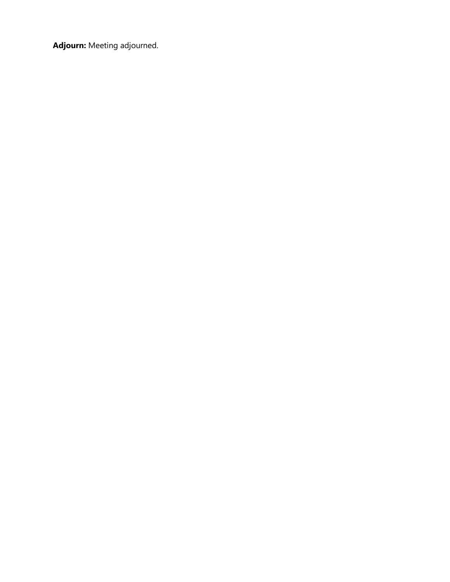**Adjourn:** Meeting adjourned.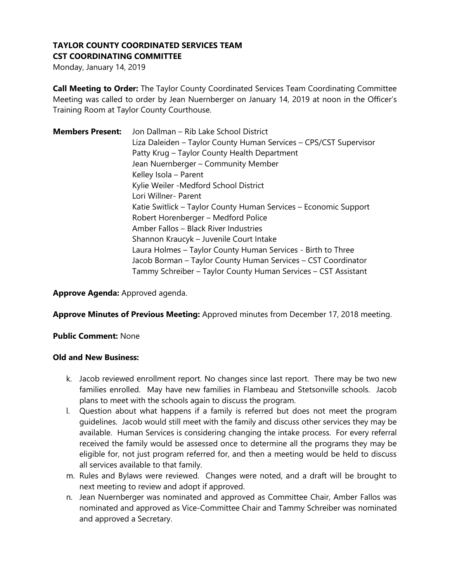# **TAYLOR COUNTY COORDINATED SERVICES TEAM CST COORDINATING COMMITTEE**

Monday, January 14, 2019

**Call Meeting to Order:** The Taylor County Coordinated Services Team Coordinating Committee Meeting was called to order by Jean Nuernberger on January 14, 2019 at noon in the Officer's Training Room at Taylor County Courthouse.

| <b>Members Present:</b> | Jon Dallman - Rib Lake School District                            |
|-------------------------|-------------------------------------------------------------------|
|                         | Liza Daleiden - Taylor County Human Services - CPS/CST Supervisor |
|                         | Patty Krug - Taylor County Health Department                      |
|                         | Jean Nuernberger - Community Member                               |
|                         | Kelley Isola - Parent                                             |
|                         | Kylie Weiler - Medford School District                            |
|                         | Lori Willner- Parent                                              |
|                         | Katie Switlick – Taylor County Human Services – Economic Support  |
|                         | Robert Horenberger - Medford Police                               |
|                         | Amber Fallos - Black River Industries                             |
|                         | Shannon Kraucyk – Juvenile Court Intake                           |
|                         | Laura Holmes - Taylor County Human Services - Birth to Three      |
|                         | Jacob Borman – Taylor County Human Services – CST Coordinator     |
|                         | Tammy Schreiber – Taylor County Human Services – CST Assistant    |

**Approve Agenda:** Approved agenda.

**Approve Minutes of Previous Meeting:** Approved minutes from December 17, 2018 meeting.

### **Public Comment:** None

#### **Old and New Business:**

- k. Jacob reviewed enrollment report. No changes since last report. There may be two new families enrolled. May have new families in Flambeau and Stetsonville schools. Jacob plans to meet with the schools again to discuss the program.
- l. Question about what happens if a family is referred but does not meet the program guidelines. Jacob would still meet with the family and discuss other services they may be available. Human Services is considering changing the intake process. For every referral received the family would be assessed once to determine all the programs they may be eligible for, not just program referred for, and then a meeting would be held to discuss all services available to that family.
- m. Rules and Bylaws were reviewed. Changes were noted, and a draft will be brought to next meeting to review and adopt if approved.
- n. Jean Nuernberger was nominated and approved as Committee Chair, Amber Fallos was nominated and approved as Vice-Committee Chair and Tammy Schreiber was nominated and approved a Secretary.